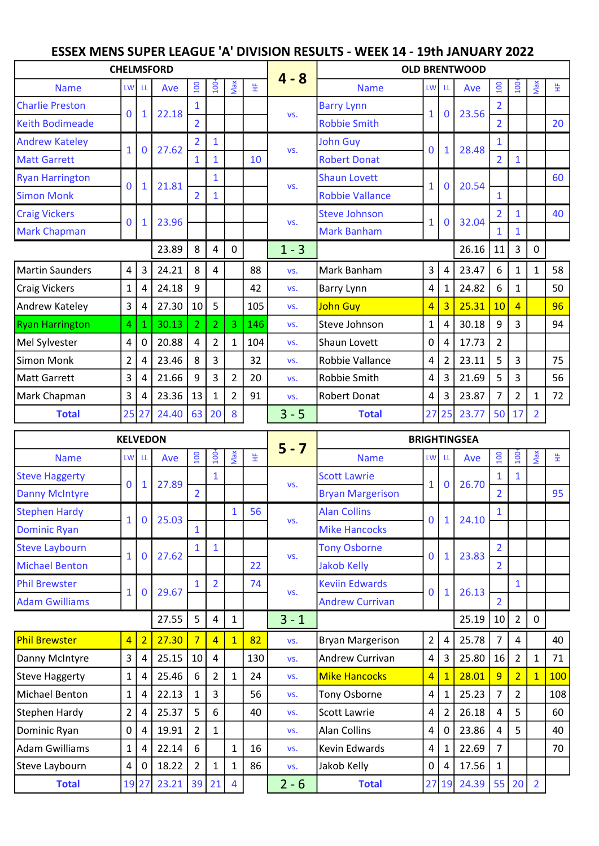## ESSEX MENS SUPER LEAGUE 'A' DIVISION RESULTS - WEEK 14 - 19th JANUARY 2022

| <b>CHELMSFORD</b>      |                |             |       |                |                |                |     |                     | <b>OLD BRENTWOOD</b>    |                         |                         |       |                |                  |                |       |  |  |
|------------------------|----------------|-------------|-------|----------------|----------------|----------------|-----|---------------------|-------------------------|-------------------------|-------------------------|-------|----------------|------------------|----------------|-------|--|--|
| <b>Name</b>            | LW             | LL          | Ave   | 100            | 100            | Max            | 뚶   | $4 - 8$             | <b>Name</b>             | LW                      | LL                      | Ave   | 100            | 100 <sup>2</sup> | Max            | 뚶     |  |  |
| <b>Charlie Preston</b> |                |             |       | $\mathbf{1}$   |                |                |     |                     | <b>Barry Lynn</b>       |                         |                         | 23.56 | $\overline{2}$ |                  |                |       |  |  |
| <b>Keith Bodimeade</b> | $\mathbf 0$    | 1           | 22.18 | $\overline{2}$ |                |                |     | VS.                 | <b>Robbie Smith</b>     | $\mathbf{1}$            | $\mathbf 0$             |       | $\overline{2}$ |                  |                | 20    |  |  |
| <b>Andrew Kateley</b>  |                |             | 27.62 | $\overline{2}$ | $\mathbf{1}$   |                |     |                     | <b>John Guy</b>         |                         |                         | 28.48 | 1              |                  |                |       |  |  |
| <b>Matt Garrett</b>    | $\mathbf{1}$   | 0           |       | $\mathbf{1}$   | $\mathbf{1}$   |                | 10  | VS.                 | <b>Robert Donat</b>     | $\mathbf 0$             | $\mathbf{1}$            |       | $\overline{2}$ | $\mathbf{1}$     |                |       |  |  |
| <b>Ryan Harrington</b> |                |             |       |                | $\mathbf{1}$   |                |     | VS.                 | <b>Shaun Lovett</b>     |                         |                         |       |                |                  |                | 60    |  |  |
| <b>Simon Monk</b>      | 0              | 1           | 21.81 | $\overline{2}$ | $\mathbf{1}$   |                |     |                     | <b>Robbie Vallance</b>  | $\mathbf{1}$            | $\bf{0}$                | 20.54 | $\mathbf{1}$   |                  |                |       |  |  |
| <b>Craig Vickers</b>   |                |             |       |                |                |                |     | VS.                 | <b>Steve Johnson</b>    |                         | $\mathbf 0$             |       | $\overline{2}$ | $\mathbf{1}$     |                | 40    |  |  |
| <b>Mark Chapman</b>    | 0              | 1           | 23.96 |                |                |                |     |                     | <b>Mark Banham</b>      | $\mathbf{1}$            |                         | 32.04 | $\mathbf{1}$   | $\mathbf{1}$     |                |       |  |  |
|                        |                |             | 23.89 | 8              | $\overline{4}$ | 0              |     | $1 - 3$             |                         |                         |                         | 26.16 | 11             | 3                | $\pmb{0}$      |       |  |  |
| Martin Saunders        | 4              | 3           | 24.21 | 8              | $\overline{4}$ |                | 88  | VS.                 | Mark Banham             | 3                       | $\overline{4}$          | 23.47 | 6              | $\mathbf{1}$     | $\mathbf{1}$   | 58    |  |  |
| <b>Craig Vickers</b>   | $\mathbf{1}$   | 4           | 24.18 | 9              |                |                | 42  | VS.                 | Barry Lynn              | $\overline{\mathbf{4}}$ | $\mathbf{1}$            | 24.82 | 6              | $\mathbf{1}$     |                | 50    |  |  |
| Andrew Kateley         | 3              | 4           | 27.30 | 10             | 5              |                | 105 | VS.                 | John Guy                | $\overline{4}$          | $\overline{\mathbf{3}}$ | 25.31 | 10             | $\overline{4}$   |                | 96    |  |  |
| <b>Ryan Harrington</b> | 4              | 1           | 30.13 | $\overline{2}$ | $\overline{2}$ | 3              | 146 | VS.                 | Steve Johnson           | $\mathbf 1$             | 4                       | 30.18 | 9              | 3                |                | 94    |  |  |
| Mel Sylvester          | 4              | $\mathbf 0$ | 20.88 | $\overline{4}$ | $\overline{2}$ | $\mathbf{1}$   | 104 | VS.                 | Shaun Lovett            | $\pmb{0}$               | $\overline{4}$          | 17.73 | $\overline{2}$ |                  |                |       |  |  |
| <b>Simon Monk</b>      | $\overline{2}$ | 4           | 23.46 | 8              | $\overline{3}$ |                | 32  | VS.                 | Robbie Vallance         | 4                       | $\overline{2}$          | 23.11 | 5              | 3                |                | 75    |  |  |
| <b>Matt Garrett</b>    | 3              | 4           | 21.66 | 9              | 3              | $\overline{2}$ | 20  | VS.                 | Robbie Smith            | 4                       | 3                       | 21.69 | 5              | 3                |                | 56    |  |  |
| Mark Chapman           | 3              | 4           | 23.36 | 13             | $\mathbf{1}$   | $\overline{2}$ | 91  | VS.                 | <b>Robert Donat</b>     | $\overline{\mathbf{4}}$ | $\overline{3}$          | 23.87 | $\overline{7}$ | $\overline{2}$   | $\mathbf{1}$   | 72    |  |  |
| <b>Total</b>           | 25             | 27          | 24.40 | 63             | 20             | 8              |     | $3 - 5$             | <b>Total</b>            | 27                      | 25                      | 23.77 | 50             | 17               | $\overline{2}$ |       |  |  |
| <b>KELVEDON</b>        |                |             |       |                |                |                |     | <b>BRIGHTINGSEA</b> |                         |                         |                         |       |                |                  |                |       |  |  |
| <b>Name</b>            | LW             | LL          | Ave   | 100            | $100 -$        | Max            | 뚶   | $5 - 7$             | <b>Name</b>             | LW                      | LL                      | Ave   | 100            | $100 +$          | Max            | 生<br> |  |  |
| <b>Steve Haggerty</b>  |                |             |       |                | $\overline{1}$ |                |     |                     | <b>Scott Lawrie</b>     |                         |                         |       | $\mathbf{1}$   | 1                |                |       |  |  |
| <b>Danny McIntyre</b>  | 0              | 1           | 27.89 | $\overline{2}$ |                |                |     | VS.                 | <b>Bryan Margerison</b> | $\mathbf{1}$            | $\bf{0}$                | 26.70 | $\overline{2}$ |                  |                | 95    |  |  |
| <b>Stephen Hardy</b>   |                |             |       |                |                | $\mathbf{1}$   | 56  |                     | <b>Alan Collins</b>     |                         |                         |       | $\mathbf{1}$   |                  |                |       |  |  |
| <b>Dominic Ryan</b>    | $\mathbf{1}$   | $\bf{0}$    | 25.03 | $\mathbf{1}$   |                |                |     | VS.                 | <b>Mike Hancocks</b>    | $\Omega$                | $\mathbf{1}$            | 24.10 |                |                  |                |       |  |  |
| <b>Steve Laybourn</b>  |                |             |       | $\mathbf{1}$   | $\mathbf{1}$   |                |     |                     | <b>Tony Osborne</b>     |                         |                         |       | $\overline{2}$ |                  |                |       |  |  |
| <b>Michael Benton</b>  | $\mathbf{1}$   | 0           | 27.62 |                |                |                | 22  | VS.                 | <b>Jakob Kelly</b>      | $\mathbf{0}$            | $\mathbf{1}$            | 23.83 | $\overline{2}$ |                  |                |       |  |  |
|                        |                |             |       |                |                |                |     |                     |                         |                         |                         |       |                |                  |                |       |  |  |

| <b>Michael Benton</b> |                |                |       |                 |                |              | 22  |         | <b>Jakob Kelly</b>      |                |              |       | 2            |                |              |     |
|-----------------------|----------------|----------------|-------|-----------------|----------------|--------------|-----|---------|-------------------------|----------------|--------------|-------|--------------|----------------|--------------|-----|
| <b>Phil Brewster</b>  |                | $\mathbf 0$    | 29.67 |                 | $\overline{2}$ |              | 74  | VS.     | <b>Keviin Edwards</b>   | $\Omega$       | $\mathbf{1}$ | 26.13 |              |                |              |     |
| <b>Adam Gwilliams</b> |                |                |       |                 |                |              |     |         | <b>Andrew Currivan</b>  |                |              |       | 2            |                |              |     |
|                       |                |                | 27.55 | 5               | 4              | 1            |     | $3 - 1$ |                         |                |              | 25.19 | 10           | $\overline{2}$ | $\mathbf{0}$ |     |
| <b>Phil Brewster</b>  | $\overline{4}$ | $\overline{2}$ | 27.30 |                 | 4              | $\mathbf{1}$ | 82  | VS.     | <b>Bryan Margerison</b> | $\overline{2}$ | 4            | 25.78 | 7            | 4              |              | 40  |
| Danny McIntyre        | 3              | 4              | 25.15 | 10 <sup>1</sup> | 4              |              | 130 | VS.     | <b>Andrew Currivan</b>  | 4              | 3            | 25.80 | 16           | $\overline{2}$ | 1            | 71  |
| Steve Haggerty        | 1              | 4              | 25.46 | 6               | $\overline{2}$ | 1            | 24  | VS.     | <b>Mike Hancocks</b>    | $\overline{4}$ |              | 28.01 | 9            | $\overline{2}$ | $\mathbf{1}$ | 100 |
| Michael Benton        | 1              | 4              | 22.13 | 1               | 3              |              | 56  | VS.     | Tony Osborne            | 4              | 1            | 25.23 | 7            | $\overline{2}$ |              | 108 |
| Stephen Hardy         | $\overline{2}$ | 4              | 25.37 | 5               | 6              |              | 40  | VS.     | <b>Scott Lawrie</b>     | 4              | 2            | 26.18 | 4            | 5              |              | 60  |
| Dominic Ryan          | $\mathbf 0$    | 4              | 19.91 | $\overline{2}$  | 1              |              |     | VS.     | <b>Alan Collins</b>     | 4              | 0            | 23.86 | 4            | 5              |              | 40  |
| Adam Gwilliams        | $\mathbf{1}$   | 4              | 22.14 | 6               |                | $\mathbf{1}$ | 16  | VS.     | Kevin Edwards           | 4              |              | 22.69 | 7            |                |              | 70  |
| Steve Laybourn        | 4              | 0              | 18.22 | $\overline{2}$  | 1              | $\mathbf{1}$ | 86  | VS.     | Jakob Kelly             | 0              | 4            | 17.56 | $\mathbf{1}$ |                |              |     |
| <b>Total</b>          | 19             | 27             | 23.21 | 39              | 21             | 4            |     | $2 - 6$ | <b>Total</b>            |                | 27 19        | 24.39 | 55           | 20             | 2            |     |